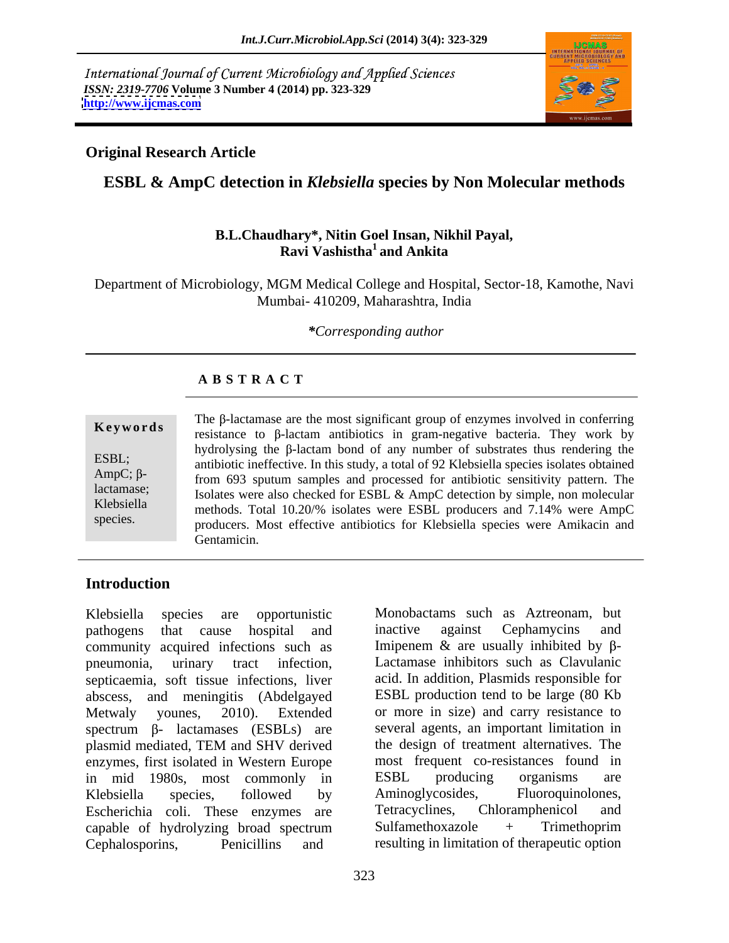International Journal of Current Microbiology and Applied Sciences *ISSN: 2319-7706* **Volume 3 Number 4 (2014) pp. 323-329 <http://www.ijcmas.com>**



# **Original Research Article**

# **ESBL & AmpC detection in** *Klebsiella* **species by Non Molecular methods**

### **B.L.Chaudhary\*, Nitin Goel Insan, Nikhil Payal, Ravi Vashistha<sup>1</sup> and Ankita**

Department of Microbiology, MGM Medical College and Hospital, Sector-18, Kamothe, Navi Mumbai- 410209, Maharashtra, India

*\*Corresponding author*

## **A B S T R A C T**

**Keywords** resistance to  $\beta$ -lactam antibiotics in gram-negative bacteria. They work by ESBL;<br>antibiotic ineffective. In this study, a total of 92 Klebsiella species isolates obtained  $AmpC$ ;  $\beta$ -<br>from 693 sputum samples and processed for antibiotic sensitivity pattern. The lactamase;<br>Isolates were also checked for ESBL & AmpC detection by simple, non molecular Klebsiella methods. Total 10.20/% isolates were ESBL producers and 7.14% were AmpC species. producers. Most effective antibiotics for Klebsiella species were Amikacin and The  $\beta$ -lactamase are the most significant group of enzymes involved in conferring hydrolysing the  $\beta$ -lactam bond of any number of substrates thus rendering the Gentamicin.

# **Introduction**

Klebsiella species are opportunistic Monobactams such as Aztreonam, but pathogens that cause hospital and inactive against Cephamycins and community acquired infections such as pneumonia, urinary tract infection, Lactamase inhibitors such as Clavulanic septicaemia, soft tissue infections, liver abscess, and meningitis (Abdelgayed ESBL production tend to be large (80 Kb Metwaly younes, 2010). Extended or more in size) and carry resistance to spectrum  $\beta$ - lactamases (ESBLs) are plasmid mediated, TEM and SHV derived enzymes, first isolated in Western Europe in mid 1980s, most commonly in ESBL producing organisms are Klebsiella species, followed by Aminoglycosides, Fluoroquinolones, Escherichia coli. These enzymes are Tetracyclines, Chloramphenicol and capable of hydrolyzing broad spectrum Cephalosporins, Penicillins and resulting in limitation of therapeutic option

inactive against Cephamycins and Imipenem  $\&$  are usually inhibited by  $\beta$ acid. In addition, Plasmids responsible for several agents, an important limitation in the design of treatment alternatives. The most frequent co-resistances found in ESBL producing organisms are Aminoglycosides, Fluoroquinolones, Tetracyclines, Chloramphenicol and Sulfamethoxazole + Trimethoprim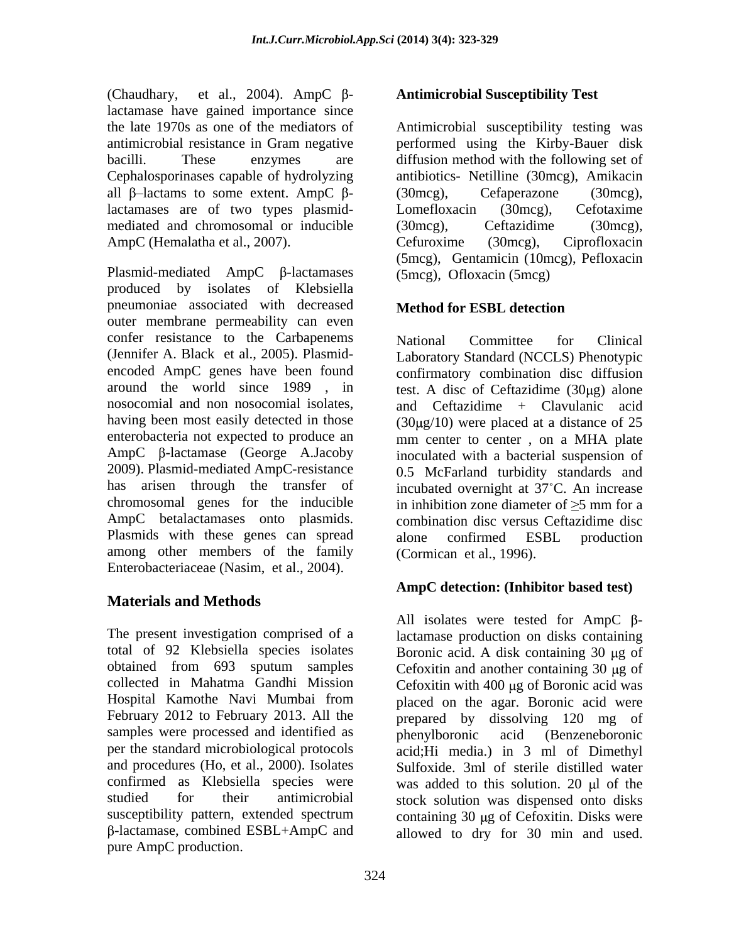(Chaudhary, et al., 2004). AmpC β-<br>**Antimicrobial Susceptibility Test** lactamase have gained importance since the late 1970s as one of the mediators of Antimicrobial susceptibility testing was antimicrobial resistance in Gram negative performed using the Kirby-Bauer disk bacilli. These enzymes are diffusion method with the following set of Cephalosporinases capable of hydrolyzing all  $\beta$ -lactams to some extent. AmpC  $\beta$ - (30mcg), Cefaperazone (30mcg), lactamases are of two types plasmid-<br>Lomefloxacin (30mcg), Cefotaxime mediated and chromosomal or inducible (30mcg), Ceftazidime (30mcg),

produced by isolates of Klebsiella pneumoniae associated with decreased Method for ESBL detection outer membrane permeability can even confer resistance to the Carbapenems National Committee for Clinical (Jennifer A. Black et al., 2005). Plasmid- Laboratory Standard (NCCLS) Phenotypic encoded AmpC genes have been found confirmatory combination disc diffusion around the world since  $1989$ , in test. A disc of Ceftazidime  $(30\mu g)$  alone nosocomial and non nosocomial isolates, having been most easily detected in those  $(30\mu g/10)$  were placed at a distance of 25 enterobacteria not expected to produce an mm center to center, on a MHA plate AmpC  $\beta$ -lactamase (George A.Jacoby inoculated with a bacterial suspension of 2009). Plasmid-mediated AmpC-resistance 0.5 McFarland turbidity standards and has arisen through the transfer of incubated overnight at 37°C. An increase chromosomal genes for the inducible in inhibition zone diameter of  $>5$  mm for a AmpC betalactamases onto plasmids. Plasmids with these genes can spread alone confirmed ESBL production among other members of the family Enterobacteriaceae (Nasim, et al., 2004).

# **Materials and Methods**

samples were processed and identified as  $\qquad$  phenylboronic acid (Benzeneboronic -lactamase, combined ESBL+AmpC and allowed to dry for 30 min and used.pure AmpC production.

AmpC (Hemalatha et al., 2007). Cefuroxime (30mcg), Ciprofloxacin<br>
(5mcg), Gentamicin (10mcg), Pefloxacin<br>
Plasmid-mediated AmpC β-lactamases (5mcg), Ofloxacin (5mcg) antibiotics- Netilline (30mcg), Amikacin (30mcg), Cefaperazone (30mcg), Lomefloxacin (30mcg), Cefotaxime (30mcg), Ceftazidime (30mcg), Cefuroxime (30mcg), Ciprofloxacin (5mcg), Gentamicin (10mcg), Pefloxacin (5mcg), Ofloxacin (5mcg)

# **Method for ESBL detection**

National Committee for Clinical and Ceftazidime + Clavulanic acid in inhibition zone diameter of  $\geq$ 5 mm for a combination disc versus Ceftazidime disc alone confirmed ESBL production (Cormican et al., 1996).

## **AmpC detection: (Inhibitor based test)**

The present investigation comprised of a lactamase production on disks containing total of 92 Klebsiella species isolates Boronic acid. A disk containing 30 µg of obtained from 693 sputum samples Cefoxitin and another containing 30 µg of collected in Mahatma Gandhi Mission Cefoxitin with 400 µg of Boronic acid was Hospital Kamothe Navi Mumbai from placed on the agar. Boronic acid were February 2012 to February 2013. All the prepared by dissolving 120 mg of per the standard microbiological protocols acid;Hi media.) in 3 ml of Dimethyl and procedures (Ho, et al., 2000). Isolates Sulfoxide. 3ml of sterile distilled water confirmed as Klebsiella species were was added to this solution. 20  $\mu$ l of the studied for their antimicrobial stock solution was dispensed onto disks susceptibility pattern, extended spectrum containing 30 µg of Cefoxitin. Disks were All isolates were tested for AmpC  $\beta$ phenylboronic acid (Benzeneboronic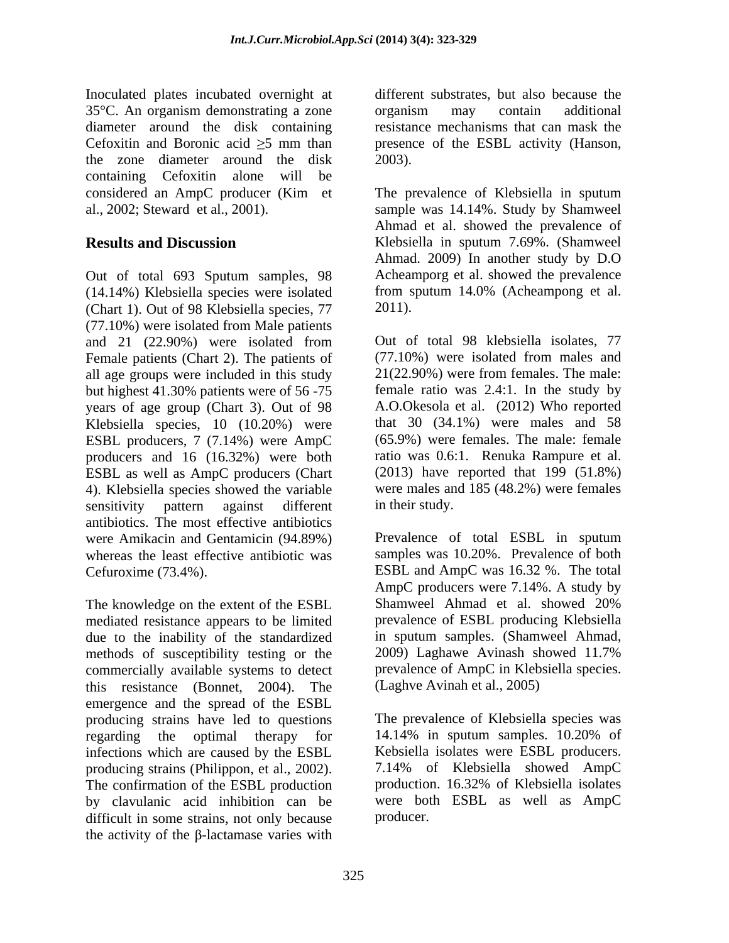Inoculated plates incubated overnight at 35°C. An organism demonstrating a zone diameter around the disk containing Cefoxitin and Boronic acid  $\geq$ 5 mm than presence of the ESBL activity (Hanson, the zone diameter around the disk containing Cefoxitin alone will be considered an AmpC producer (Kim et The prevalence of Klebsiella in sputum

Out of total 693 Sputum samples, 98 Acheamporg et al. showed the prevalence (14.14%) Klebsiella species were isolated from sputum 14.0% (Acheampong et al. (14.14%) Klebsiella species were isolated from s<br>(Chart 1). Out of 98 Klebsiella species,  $77$  2011). (Chart 1). Out of 98 Klebsiella species, 77 (77.10%) were isolated from Male patients and 21 (22.90%) were isolated from Female patients (Chart 2). The patients of all age groups were included in this study but highest 41.30% patients were of 56 -75 years of age group (Chart 3). Out of 98 Klebsiella species, 10 (10.20%) were ESBL producers, 7 (7.14%) were AmpC (65.9%) were females. The male: female producers and 16 (16.32%) were both ratio was 0.6:1. Renuka Rampure et al. producers and 16 (16.32%) were both ratio was 0.6:1. Renuka Rampure et al.<br>ESBL as well as AmpC producers (Chart (2013) have reported that 199 (51.8%) ESBL as well as AmpC producers (Chart 4). Klebsiella species showed the variable sensitivity pattern against different in their study. antibiotics. The most effective antibiotics<br>were Amikacin and Gentamicin (94.89%) Prevalence of total ESBL in sputum were Amikacin and Gentamicin (94.89%) whereas the least effective antibiotic was samples was 10.20%. Prevalence of both Cefuroxime (73.4%). ESBL and AmpC was 16.32 %. The total

mediated resistance appears to be limited due to the inability of the standardized methods of susceptibility testing or the 2009) Laghawe Avinash showed 11.7% commercially available systems to detect prevalence of AmpC in Klebsiella species. commercially available systems to detect prevalence of AmpC in Kleb<br>this resistance (Bonnet, 2004). The (Laghve Avinah et al., 2005) this resistance (Bonnet, 2004). The emergence and the spread of the ESBL producing strains have led to questions regarding the optimal therapy for 14.14% in sputum samples. 10.20% of infections which are caused by the ESBL producing strains (Philippon, et al., 2002). The confirmation of the ESBL production by clavulanic acid inhibition can be difficult in some strains, not only because the activity of the  $\beta$ -lactamase varies with

different substrates, but also because the organism may contain additional resistance mechanisms that can mask the 2003).

al., 2002; Steward et al., 2001). sample was 14.14%. Study by Shamweel **Results and Discussion** Klebsiella in sputum 7.69%. (Shamweel Ahmad et al. showed the prevalence of Ahmad. 2009) In another study by D.O Acheamporg et al. showed the prevalence from sputum 14.0% (Acheampong et al. 2011).

> Out of total 98 klebsiella isolates, 77 (77.10%) were isolated from males and 21(22.90%) were from females. The male: female ratio was 2.4:1. In the study by A.O.Okesola et al. (2012) Who reported that 30 (34.1%) were males and 58 (65.9%) were females. The male: female ratio was 0.6:1. Renuka Rampure et al. (2013) have reported that <sup>199</sup> (51.8%) were males and 185 (48.2%) were females in their study.

The knowledge on the extent of the ESBL Shamweel Ahmad et al. showed 20% Prevalence of total ESBL in sputum AmpC producers were 7.14%. A study by Shamweel Ahmad et al. showed 20% prevalence of ESBL producing Klebsiella in sputum samples. (Shamweel Ahmad, 2009) Laghawe Avinash showed 11.7% prevalence of AmpC in Klebsiella species. (Laghve Avinah et al., 2005)

> The prevalence of Klebsiella species was 14.14% in sputum samples. 10.20% of Kebsiella isolates were ESBL producers. 7.14% of Klebsiella showed AmpC production. 16.32% of Klebsiella isolates were both ESBL as well as AmpC producer.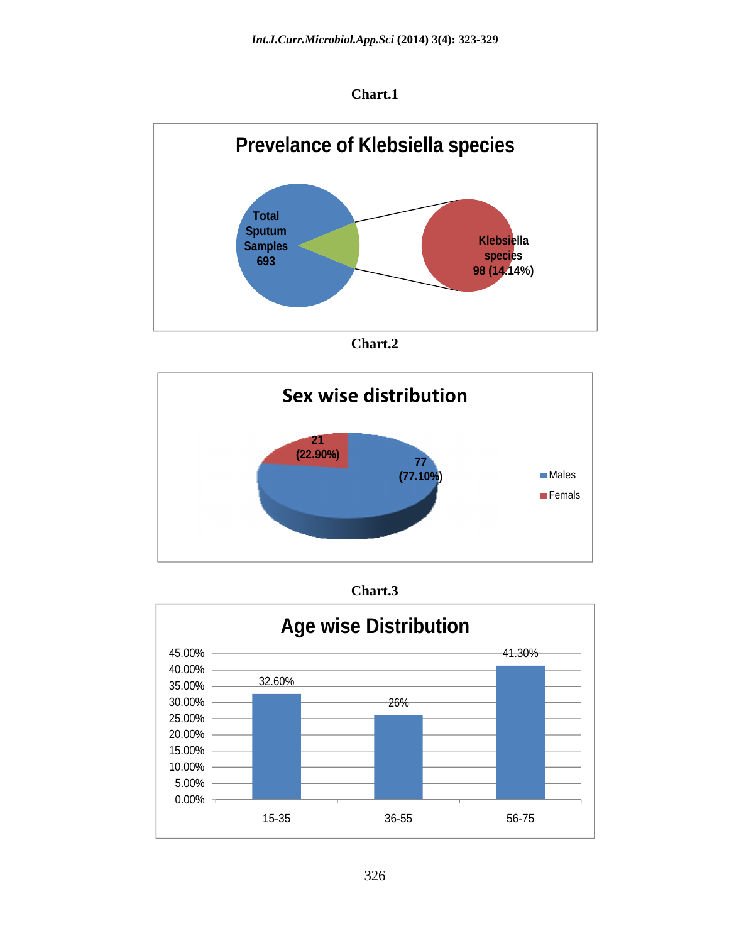









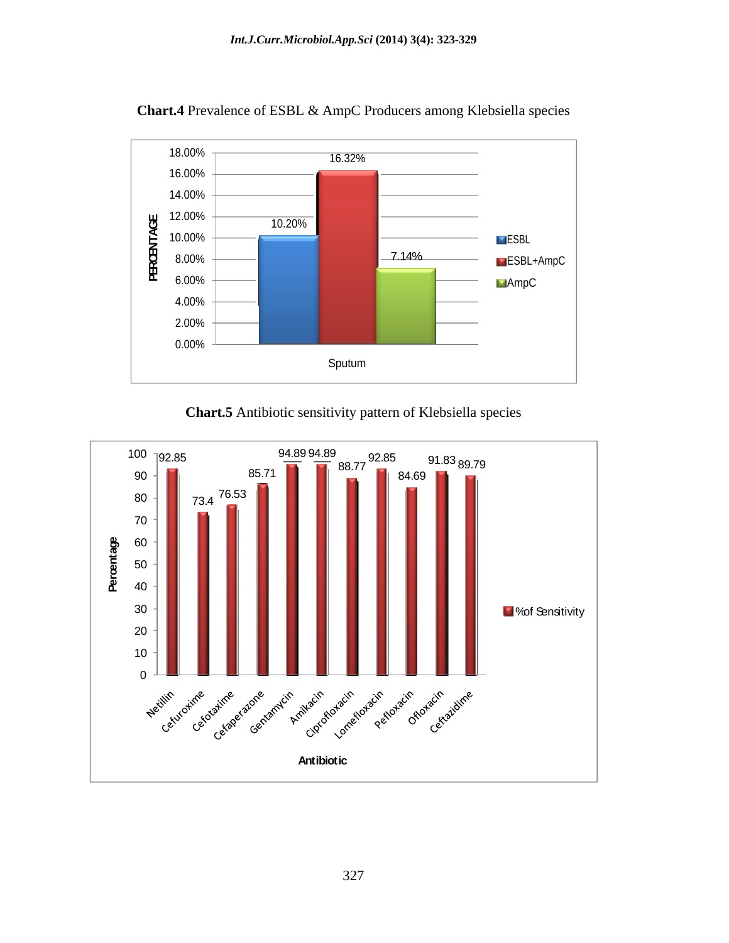

**Chart.4** Prevalence of ESBL & AmpC Producers among Klebsiella species

**Chart.5** Antibiotic sensitivity pattern of Klebsiella species

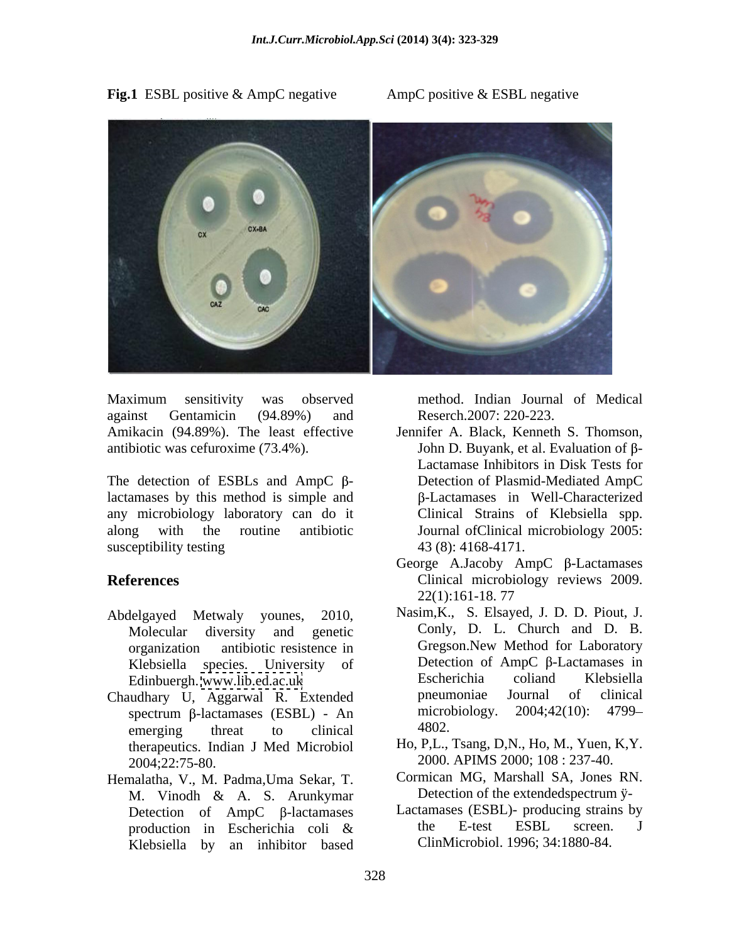Fig.1 ESBL positive & AmpC negative AmpC positive & ESBL negative



Maximum sensitivity was observed against Gentamicin (94.89%) and Reserch.2007: 220-223.

The detection of ESBLs and AmpC  $\beta$ lactamases by this method is simple and any microbiology laboratory can do it along with the routine antibiotic Journal ofClinical microbiology 2005: susceptibility testing  $43(8): 4168-4171$ .

- 
- Chaudhary U, Aggarwal R. Extended<br>spectrum B-lactamases (ESBL) An microbiology. 2004;42(10): 4799– spectrum  $\beta$ -lactamases (ESBL) - An microbiology. 2004;42(10):<br>emerging threat to clinical 4802. emerging threat to clinical 4802. therapeutics. Indian J Med Microbiol 2004;22:75-80. 2000. APIMS 2000; 108 : 237-40.
- Hemalatha, V., M. Padma,Uma Sekar, T. M. Vinodh & A. S. Arunkymar Detection of the extended spectrum yproduction in Escherichia coli & Klebsiella by an inhibitor based

method. Indian Journal of Medical Reserch.2007: 220-223.

- Amikacin (94.89%). The least effective Jennifer A. Black, Kenneth S. Thomson, antibiotic was cefuroxime (73.4%).  $\qquad \qquad$  John D. Buyank, et al. Evaluation of  $\beta$ -Lactamase Inhibitors in Disk Tests for Detection of Plasmid-Mediated AmpC -Lactamases in Well-Characterized Clinical Strains of Klebsiella spp. 43 (8): 4168-4171.
- **References** Clinical microbiology reviews 2009. George A.Jacoby AmpC  $\beta$ -Lactamases 22(1):161-18. 77
- Abdelgayed Metwaly younes, 2010, Nasim,K., S. Elsayed, J. D. D. Piout, J. Molecular diversity and genetic Conly, D. L. Church and D. B. organization antibiotic resistence in Gregson.New Method for Laboratory Klebsiella species. University of  $\qquad$  Detection of AmpC  $\beta$ -Lactamases in Escherichia coliand Klebsiella Edinbuergh. [www.lib.ed.ac.uk](http://www.lib.ed.ac.uk) Detection of AmpC  $\beta$ -Lactamases in Escherichia coliand Klebsiella pneumoniae Journal of clinical microbiology. 2004;42(10): 4799 4802.
	- Ho, P,L., Tsang, D,N., Ho, M., Yuen, K,Y.
	- Cormican MG, Marshall SA, Jones RN. Detection of the extendedspectrum ÿ-
	- Detection of AmpC  $\beta$ -lactamases Lactamases (ESBL)- producing strains by<br>production in Escherichia coli & the E-test ESBL screen. J Lactamases (ESBL)- producing strains by the E-test ESBL screen. J ClinMicrobiol. 1996; 34:1880-84.